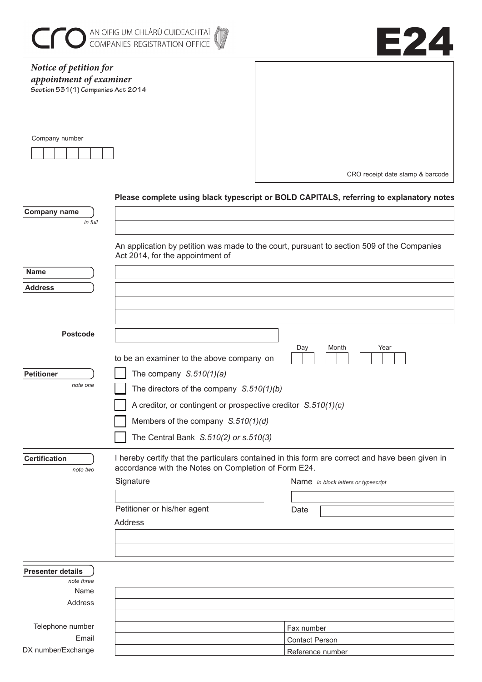|                                                                                        | AN OIFIG UM CHLÁRÚ CUIDEACHTAÍ<br>COMPANIES REGISTRATION OFFICE        | E24                                                                                             |
|----------------------------------------------------------------------------------------|------------------------------------------------------------------------|-------------------------------------------------------------------------------------------------|
| Notice of petition for<br>appointment of examiner<br>Section 531(1) Companies Act 2014 |                                                                        |                                                                                                 |
| Company number                                                                         |                                                                        | CRO receipt date stamp & barcode                                                                |
|                                                                                        |                                                                        | Please complete using black typescript or BOLD CAPITALS, referring to explanatory notes         |
| <b>Company name</b><br>in full                                                         |                                                                        |                                                                                                 |
|                                                                                        | Act 2014, for the appointment of                                       | An application by petition was made to the court, pursuant to section 509 of the Companies      |
| <b>Name</b>                                                                            |                                                                        |                                                                                                 |
| <b>Address</b>                                                                         |                                                                        |                                                                                                 |
|                                                                                        |                                                                        |                                                                                                 |
|                                                                                        |                                                                        |                                                                                                 |
| <b>Postcode</b>                                                                        |                                                                        |                                                                                                 |
| <b>Petitioner</b><br>note one                                                          | to be an examiner to the above company on<br>The company $S.510(1)(a)$ | Month<br>Year<br>Day                                                                            |
|                                                                                        | The directors of the company $S.510(1)(b)$                             |                                                                                                 |
|                                                                                        | A creditor, or contingent or prospective creditor $S.510(1)(c)$        |                                                                                                 |
|                                                                                        | Members of the company $S.510(1)(d)$                                   |                                                                                                 |
|                                                                                        | The Central Bank S.510(2) or s.510(3)                                  |                                                                                                 |
| <b>Certification</b><br>note two                                                       | accordance with the Notes on Completion of Form E24.                   | I hereby certify that the particulars contained in this form are correct and have been given in |
|                                                                                        | Signature                                                              | Name in block letters or typescript                                                             |
|                                                                                        |                                                                        |                                                                                                 |
|                                                                                        | Petitioner or his/her agent<br><b>Address</b>                          | Date                                                                                            |
|                                                                                        |                                                                        |                                                                                                 |
|                                                                                        |                                                                        |                                                                                                 |
| <b>Presenter details</b><br>note three                                                 |                                                                        |                                                                                                 |
| Name                                                                                   |                                                                        |                                                                                                 |
| Address                                                                                |                                                                        |                                                                                                 |
| Telephone number                                                                       |                                                                        | Fax number                                                                                      |
| Email                                                                                  |                                                                        | <b>Contact Person</b>                                                                           |
| DX number/Exchange                                                                     |                                                                        | Reference number                                                                                |